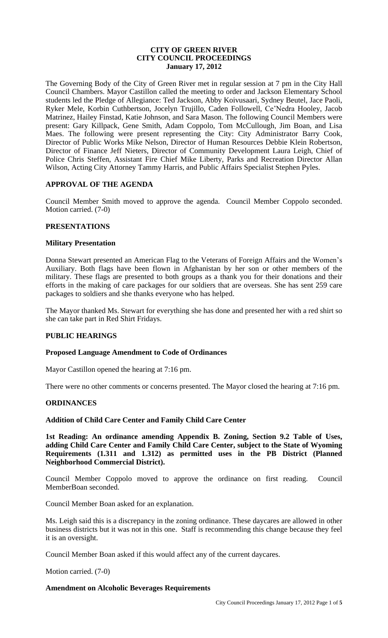# **CITY OF GREEN RIVER CITY COUNCIL PROCEEDINGS January 17, 2012**

The Governing Body of the City of Green River met in regular session at 7 pm in the City Hall Council Chambers. Mayor Castillon called the meeting to order and Jackson Elementary School students led the Pledge of Allegiance: Ted Jackson, Abby Koivusaari, Sydney Beutel, Jace Paoli, Ryker Mele, Korbin Cuthbertson, Jocelyn Trujillo, Caden Followell, Ce'Nedra Hooley, Jacob Matrinez, Hailey Finstad, Katie Johnson, and Sara Mason. The following Council Members were present: Gary Killpack, Gene Smith, Adam Coppolo, Tom McCullough, Jim Boan, and Lisa Maes. The following were present representing the City: City Administrator Barry Cook, Director of Public Works Mike Nelson, Director of Human Resources Debbie Klein Robertson, Director of Finance Jeff Nieters, Director of Community Development Laura Leigh, Chief of Police Chris Steffen, Assistant Fire Chief Mike Liberty, Parks and Recreation Director Allan Wilson, Acting City Attorney Tammy Harris, and Public Affairs Specialist Stephen Pyles.

### **APPROVAL OF THE AGENDA**

Council Member Smith moved to approve the agenda. Council Member Coppolo seconded. Motion carried. (7-0)

### **PRESENTATIONS**

#### **Military Presentation**

Donna Stewart presented an American Flag to the Veterans of Foreign Affairs and the Women's Auxiliary. Both flags have been flown in Afghanistan by her son or other members of the military. These flags are presented to both groups as a thank you for their donations and their efforts in the making of care packages for our soldiers that are overseas. She has sent 259 care packages to soldiers and she thanks everyone who has helped.

The Mayor thanked Ms. Stewart for everything she has done and presented her with a red shirt so she can take part in Red Shirt Fridays.

# **PUBLIC HEARINGS**

#### **Proposed Language Amendment to Code of Ordinances**

Mayor Castillon opened the hearing at 7:16 pm.

There were no other comments or concerns presented. The Mayor closed the hearing at 7:16 pm.

#### **ORDINANCES**

### **Addition of Child Care Center and Family Child Care Center**

**1st Reading: An ordinance amending Appendix B. Zoning, Section 9.2 Table of Uses, adding Child Care Center and Family Child Care Center, subject to the State of Wyoming Requirements (1.311 and 1.312) as permitted uses in the PB District (Planned Neighborhood Commercial District).** 

Council Member Coppolo moved to approve the ordinance on first reading. Council MemberBoan seconded.

Council Member Boan asked for an explanation.

Ms. Leigh said this is a discrepancy in the zoning ordinance. These daycares are allowed in other business districts but it was not in this one. Staff is recommending this change because they feel it is an oversight.

Council Member Boan asked if this would affect any of the current daycares.

Motion carried. (7-0)

# **Amendment on Alcoholic Beverages Requirements**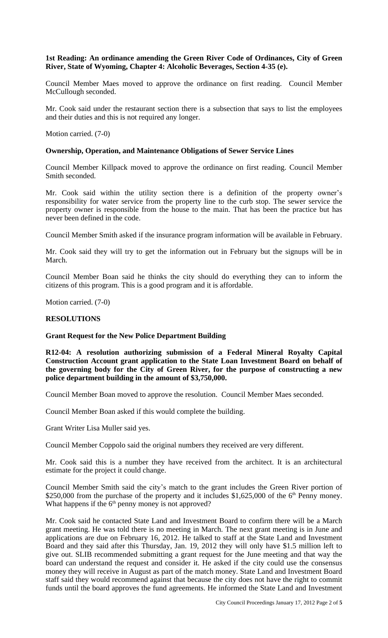# **1st Reading: An ordinance amending the Green River Code of Ordinances, City of Green River, State of Wyoming, Chapter 4: Alcoholic Beverages, Section 4-35 (e).**

Council Member Maes moved to approve the ordinance on first reading. Council Member McCullough seconded.

Mr. Cook said under the restaurant section there is a subsection that says to list the employees and their duties and this is not required any longer.

Motion carried. (7-0)

### **Ownership, Operation, and Maintenance Obligations of Sewer Service Lines**

Council Member Killpack moved to approve the ordinance on first reading. Council Member Smith seconded.

Mr. Cook said within the utility section there is a definition of the property owner's responsibility for water service from the property line to the curb stop. The sewer service the property owner is responsible from the house to the main. That has been the practice but has never been defined in the code.

Council Member Smith asked if the insurance program information will be available in February.

Mr. Cook said they will try to get the information out in February but the signups will be in March.

Council Member Boan said he thinks the city should do everything they can to inform the citizens of this program. This is a good program and it is affordable.

Motion carried. (7-0)

#### **RESOLUTIONS**

#### **Grant Request for the New Police Department Building**

**R12-04: A resolution authorizing submission of a Federal Mineral Royalty Capital Construction Account grant application to the State Loan Investment Board on behalf of the governing body for the City of Green River, for the purpose of constructing a new police department building in the amount of \$3,750,000.** 

Council Member Boan moved to approve the resolution. Council Member Maes seconded.

Council Member Boan asked if this would complete the building.

Grant Writer Lisa Muller said yes.

Council Member Coppolo said the original numbers they received are very different.

Mr. Cook said this is a number they have received from the architect. It is an architectural estimate for the project it could change.

Council Member Smith said the city's match to the grant includes the Green River portion of \$250,000 from the purchase of the property and it includes  $$1,625,000$  of the 6<sup>th</sup> Penny money. What happens if the  $6<sup>th</sup>$  penny money is not approved?

Mr. Cook said he contacted State Land and Investment Board to confirm there will be a March grant meeting. He was told there is no meeting in March. The next grant meeting is in June and applications are due on February 16, 2012. He talked to staff at the State Land and Investment Board and they said after this Thursday, Jan. 19, 2012 they will only have \$1.5 million left to give out. SLIB recommended submitting a grant request for the June meeting and that way the board can understand the request and consider it. He asked if the city could use the consensus money they will receive in August as part of the match money. State Land and Investment Board staff said they would recommend against that because the city does not have the right to commit funds until the board approves the fund agreements. He informed the State Land and Investment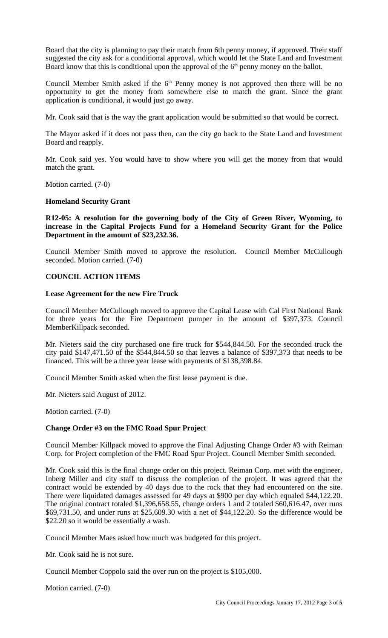Board that the city is planning to pay their match from 6th penny money, if approved. Their staff suggested the city ask for a conditional approval, which would let the State Land and Investment Board know that this is conditional upon the approval of the 6<sup>th</sup> penny money on the ballot.

Council Member Smith asked if the  $6<sup>th</sup>$  Penny money is not approved then there will be no opportunity to get the money from somewhere else to match the grant. Since the grant application is conditional, it would just go away.

Mr. Cook said that is the way the grant application would be submitted so that would be correct.

The Mayor asked if it does not pass then, can the city go back to the State Land and Investment Board and reapply.

Mr. Cook said yes. You would have to show where you will get the money from that would match the grant.

Motion carried. (7-0)

### **Homeland Security Grant**

**R12-05: A resolution for the governing body of the City of Green River, Wyoming, to increase in the Capital Projects Fund for a Homeland Security Grant for the Police Department in the amount of \$23,232.36.**

Council Member Smith moved to approve the resolution. Council Member McCullough seconded. Motion carried. (7-0)

# **COUNCIL ACTION ITEMS**

#### **Lease Agreement for the new Fire Truck**

Council Member McCullough moved to approve the Capital Lease with Cal First National Bank for three years for the Fire Department pumper in the amount of \$397,373. Council MemberKillpack seconded.

Mr. Nieters said the city purchased one fire truck for \$544,844.50. For the seconded truck the city paid \$147,471.50 of the \$544,844.50 so that leaves a balance of \$397,373 that needs to be financed. This will be a three year lease with payments of \$138,398.84.

Council Member Smith asked when the first lease payment is due.

Mr. Nieters said August of 2012.

Motion carried. (7-0)

#### **Change Order #3 on the FMC Road Spur Project**

Council Member Killpack moved to approve the Final Adjusting Change Order #3 with Reiman Corp. for Project completion of the FMC Road Spur Project. Council Member Smith seconded.

Mr. Cook said this is the final change order on this project. Reiman Corp. met with the engineer, Inberg Miller and city staff to discuss the completion of the project. It was agreed that the contract would be extended by 40 days due to the rock that they had encountered on the site. There were liquidated damages assessed for 49 days at \$900 per day which equaled \$44,122.20. The original contract totaled \$1,396,658.55, change orders 1 and 2 totaled \$60,616.47, over runs \$69,731.50, and under runs at \$25,609.30 with a net of \$44,122.20. So the difference would be \$22.20 so it would be essentially a wash.

Council Member Maes asked how much was budgeted for this project.

Mr. Cook said he is not sure.

Council Member Coppolo said the over run on the project is \$105,000.

Motion carried. (7-0)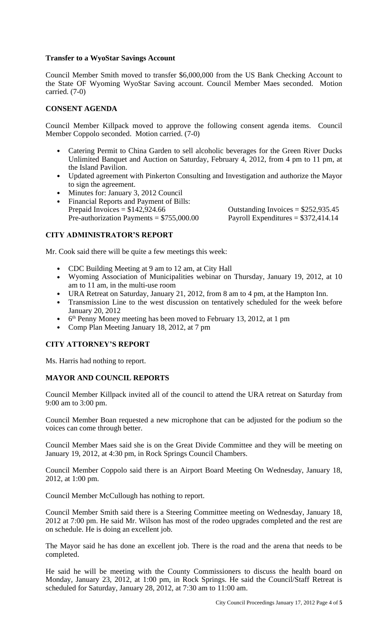### **Transfer to a WyoStar Savings Account**

Council Member Smith moved to transfer \$6,000,000 from the US Bank Checking Account to the State OF Wyoming WyoStar Saving account. Council Member Maes seconded. Motion carried. (7-0)

# **CONSENT AGENDA**

Council Member Killpack moved to approve the following consent agenda items. Council Member Coppolo seconded. Motion carried. (7-0)

- Catering Permit to China Garden to sell alcoholic beverages for the Green River Ducks Unlimited Banquet and Auction on Saturday, February 4, 2012, from 4 pm to 11 pm, at the Island Pavilion.
- Updated agreement with Pinkerton Consulting and Investigation and authorize the Mayor to sign the agreement.
- Minutes for: January 3, 2012 Council
- Financial Reports and Payment of Bills: Prepaid Invoices =  $$142,924.66$ <br>
Pre-authorization Payments =  $$755,000.00$ <br>
Outstanding Invoices =  $$252,935.45$ <br>
Payroll Expenditures =  $$372,414.14$ Pre-authorization Payments =  $$755,000.00$

# **CITY ADMINISTRATOR'S REPORT**

Mr. Cook said there will be quite a few meetings this week:

- CDC Building Meeting at 9 am to 12 am, at City Hall
- Wyoming Association of Municipalities webinar on Thursday, January 19, 2012, at 10 am to 11 am, in the multi-use room
- URA Retreat on Saturday, January 21, 2012, from 8 am to 4 pm, at the Hampton Inn.
- Transmission Line to the west discussion on tentatively scheduled for the week before January 20, 2012
- 6<sup>th</sup> Penny Money meeting has been moved to February 13, 2012, at 1 pm
- Comp Plan Meeting January 18, 2012, at 7 pm

# **CITY ATTORNEY'S REPORT**

Ms. Harris had nothing to report.

# **MAYOR AND COUNCIL REPORTS**

Council Member Killpack invited all of the council to attend the URA retreat on Saturday from 9:00 am to 3:00 pm.

Council Member Boan requested a new microphone that can be adjusted for the podium so the voices can come through better.

Council Member Maes said she is on the Great Divide Committee and they will be meeting on January 19, 2012, at 4:30 pm, in Rock Springs Council Chambers.

Council Member Coppolo said there is an Airport Board Meeting On Wednesday, January 18, 2012, at 1:00 pm.

Council Member McCullough has nothing to report.

Council Member Smith said there is a Steering Committee meeting on Wednesday, January 18, 2012 at 7:00 pm. He said Mr. Wilson has most of the rodeo upgrades completed and the rest are on schedule. He is doing an excellent job.

The Mayor said he has done an excellent job. There is the road and the arena that needs to be completed.

He said he will be meeting with the County Commissioners to discuss the health board on Monday, January 23, 2012, at 1:00 pm, in Rock Springs. He said the Council/Staff Retreat is scheduled for Saturday, January 28, 2012, at 7:30 am to 11:00 am.